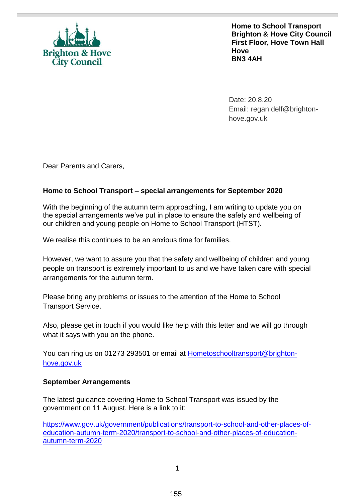

**Home to School Transport Brighton & Hove City Council First Floor, Hove Town Hall Hove BN3 4AH** 

Date: 20.8.20 Email: regan.delf@brightonhove.gov.uk

Dear Parents and Carers,

# **Home to School Transport – special arrangements for September 2020**

With the beginning of the autumn term approaching, I am writing to update you on the special arrangements we've put in place to ensure the safety and wellbeing of our children and young people on Home to School Transport (HTST).

We realise this continues to be an anxious time for families.

However, we want to assure you that the safety and wellbeing of children and young people on transport is extremely important to us and we have taken care with special arrangements for the autumn term.

Please bring any problems or issues to the attention of the Home to School Transport Service.

Also, please get in touch if you would like help with this letter and we will go through what it says with you on the phone.

You can ring us on 01273 293501 or email at **Hometoschooltransport@brighton**[hove.gov.uk](mailto:Hometoschooltransport@brighton-hove.gov.uk)

### **September Arrangements**

The latest guidance covering Home to School Transport was issued by the government on 11 August. Here is a link to it:

[https://www.gov.uk/government/publications/transport-to-school-and-other-places-of](https://www.gov.uk/government/publications/transport-to-school-and-other-places-of-education-autumn-term-2020/transport-to-school-and-other-places-of-education-autumn-term-2020)[education-autumn-term-2020/transport-to-school-and-other-places-of-education](https://www.gov.uk/government/publications/transport-to-school-and-other-places-of-education-autumn-term-2020/transport-to-school-and-other-places-of-education-autumn-term-2020)[autumn-term-2020](https://www.gov.uk/government/publications/transport-to-school-and-other-places-of-education-autumn-term-2020/transport-to-school-and-other-places-of-education-autumn-term-2020)

1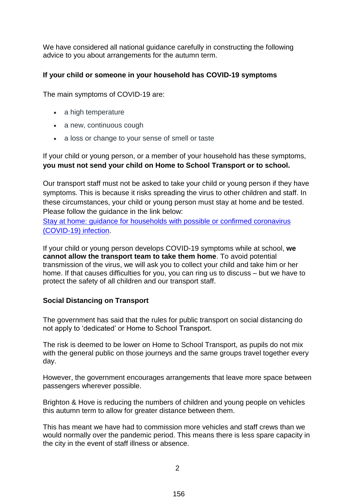We have considered all national guidance carefully in constructing the following advice to you about arrangements for the autumn term.

## **If your child or someone in your household has COVID-19 symptoms**

The main symptoms of COVID-19 are:

- a high temperature
- a new, continuous cough
- a loss or change to your sense of smell or taste

If your child or young person, or a member of your household has these symptoms, **you must not send your child on Home to School Transport or to school.** 

Our transport staff must not be asked to take your child or young person if they have symptoms. This is because it risks spreading the virus to other children and staff. In these circumstances, your child or young person must stay at home and be tested. Please follow the guidance in the link below:

Stay at home: guidance for households with possible or confirmed [coronavirus](https://www.gov.uk/government/publications/covid-19-stay-at-home-guidance/stay-at-home-guidance-for-households-with-possible-coronavirus-covid-19-infection) [\(COVID-19\)](https://www.gov.uk/government/publications/covid-19-stay-at-home-guidance/stay-at-home-guidance-for-households-with-possible-coronavirus-covid-19-infection) infection.

If your child or young person develops COVID-19 symptoms while at school, **we cannot allow the transport team to take them home**. To avoid potential transmission of the virus, we will ask you to collect your child and take him or her home. If that causes difficulties for you, you can ring us to discuss – but we have to protect the safety of all children and our transport staff.

## **Social Distancing on Transport**

The government has said that the rules for public transport on social distancing do not apply to 'dedicated' or Home to School Transport.

The risk is deemed to be lower on Home to School Transport, as pupils do not mix with the general public on those journeys and the same groups travel together every day.

However, the government encourages arrangements that leave more space between passengers wherever possible.

Brighton & Hove is reducing the numbers of children and young people on vehicles this autumn term to allow for greater distance between them.

This has meant we have had to commission more vehicles and staff crews than we would normally over the pandemic period. This means there is less spare capacity in the city in the event of staff illness or absence.

 $\mathfrak{p}$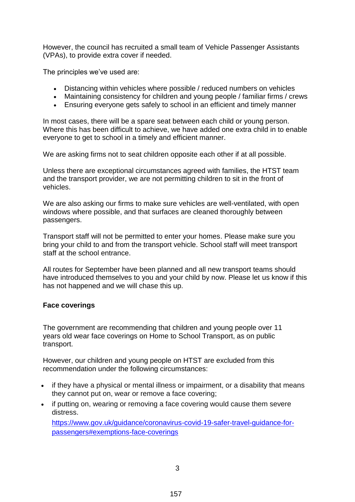However, the council has recruited a small team of Vehicle Passenger Assistants (VPAs), to provide extra cover if needed.

The principles we've used are:

- Distancing within vehicles where possible / reduced numbers on vehicles
- Maintaining consistency for children and young people / familiar firms / crews
- Ensuring everyone gets safely to school in an efficient and timely manner

In most cases, there will be a spare seat between each child or young person. Where this has been difficult to achieve, we have added one extra child in to enable everyone to get to school in a timely and efficient manner.

We are asking firms not to seat children opposite each other if at all possible.

Unless there are exceptional circumstances agreed with families, the HTST team and the transport provider, we are not permitting children to sit in the front of vehicles.

We are also asking our firms to make sure vehicles are well-ventilated, with open windows where possible, and that surfaces are cleaned thoroughly between passengers.

Transport staff will not be permitted to enter your homes. Please make sure you bring your child to and from the transport vehicle. School staff will meet transport staff at the school entrance.

All routes for September have been planned and all new transport teams should have introduced themselves to you and your child by now. Please let us know if this has not happened and we will chase this up.

### **Face coverings**

The government are recommending that children and young people over 11 years old wear face coverings on Home to School Transport, as on public transport.

However, our children and young people on HTST are excluded from this recommendation under the following circumstances:

- if they have a physical or mental illness or impairment, or a disability that means they cannot put on, wear or remove a face covering;
- if putting on, wearing or removing a face covering would cause them severe distress.

[https://www.gov.uk/guidance/coronavirus-covid-19-safer-travel-guidance-for](https://www.gov.uk/guidance/coronavirus-covid-19-safer-travel-guidance-for-passengers#exemptions-face-coverings)[passengers#exemptions-face-coverings](https://www.gov.uk/guidance/coronavirus-covid-19-safer-travel-guidance-for-passengers#exemptions-face-coverings)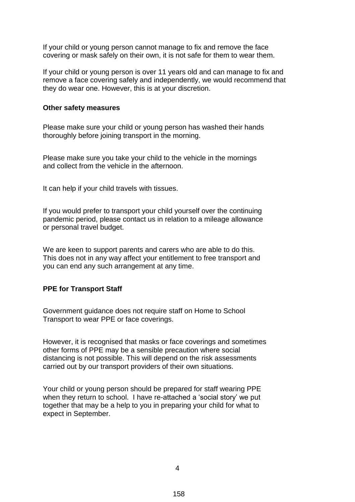If your child or young person cannot manage to fix and remove the face covering or mask safely on their own, it is not safe for them to wear them.

If your child or young person is over 11 years old and can manage to fix and remove a face covering safely and independently, we would recommend that they do wear one. However, this is at your discretion.

#### **Other safety measures**

Please make sure your child or young person has washed their hands thoroughly before joining transport in the morning.

Please make sure you take your child to the vehicle in the mornings and collect from the vehicle in the afternoon.

It can help if your child travels with tissues.

If you would prefer to transport your child yourself over the continuing pandemic period, please contact us in relation to a mileage allowance or personal travel budget.

We are keen to support parents and carers who are able to do this. This does not in any way affect your entitlement to free transport and you can end any such arrangement at any time.

#### **PPE for Transport Staff**

Government guidance does not require staff on Home to School Transport to wear PPE or face coverings.

However, it is recognised that masks or face coverings and sometimes other forms of PPE may be a sensible precaution where social distancing is not possible. This will depend on the risk assessments carried out by our transport providers of their own situations.

Your child or young person should be prepared for staff wearing PPE when they return to school. I have re-attached a 'social story' we put together that may be a help to you in preparing your child for what to expect in September.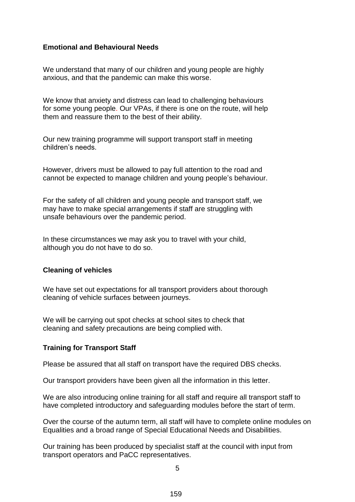### **Emotional and Behavioural Needs**

We understand that many of our children and young people are highly anxious, and that the pandemic can make this worse.

We know that anxiety and distress can lead to challenging behaviours for some young people. Our VPAs, if there is one on the route, will help them and reassure them to the best of their ability.

Our new training programme will support transport staff in meeting children's needs.

However, drivers must be allowed to pay full attention to the road and cannot be expected to manage children and young people's behaviour.

For the safety of all children and young people and transport staff, we may have to make special arrangements if staff are struggling with unsafe behaviours over the pandemic period.

In these circumstances we may ask you to travel with your child, although you do not have to do so.

### **Cleaning of vehicles**

We have set out expectations for all transport providers about thorough cleaning of vehicle surfaces between journeys.

We will be carrying out spot checks at school sites to check that cleaning and safety precautions are being complied with.

## **Training for Transport Staff**

Please be assured that all staff on transport have the required DBS checks.

Our transport providers have been given all the information in this letter.

We are also introducing online training for all staff and require all transport staff to have completed introductory and safeguarding modules before the start of term.

Over the course of the autumn term, all staff will have to complete online modules on Equalities and a broad range of Special Educational Needs and Disabilities.

Our training has been produced by specialist staff at the council with input from transport operators and PaCC representatives.

5